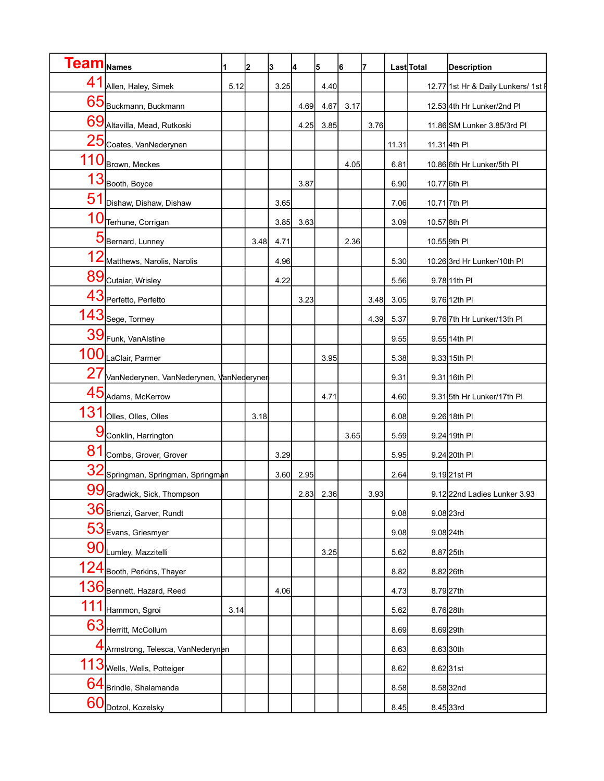| Team  <sub>Names</sub> |                                          |      | 2    | 3    | 4    | 5    | 6    | 7    |       | Last Total           | <b>Description</b>                  |
|------------------------|------------------------------------------|------|------|------|------|------|------|------|-------|----------------------|-------------------------------------|
| 41                     | Allen, Haley, Simek                      | 5.12 |      | 3.25 |      | 4.40 |      |      |       |                      | 12.77 1st Hr & Daily Lunkers/ 1st F |
|                        | 65 Buckmann, Buckmann                    |      |      |      | 4.69 | 4.67 | 3.17 |      |       |                      | 12.53 4th Hr Lunker/2nd Pl          |
|                        | 69 Altavilla, Mead, Rutkoski             |      |      |      | 4.25 | 3.85 |      | 3.76 |       |                      | 11.86 SM Lunker 3.85/3rd PI         |
|                        | 25 Coates, VanNederynen                  |      |      |      |      |      |      |      | 11.31 |                      | 11.31 4th PI                        |
| 110                    | Brown, Meckes                            |      |      |      |      |      | 4.05 |      | 6.81  |                      | 10.86 6th Hr Lunker/5th PI          |
|                        | $13$ Booth, Boyce                        |      |      |      | 3.87 |      |      |      | 6.90  |                      | 10.77 6th PI                        |
| 51                     | Dishaw, Dishaw, Dishaw                   |      |      | 3.65 |      |      |      |      | 7.06  | 10.71 7th PI         |                                     |
| 10                     | Terhune, Corrigan                        |      |      | 3.85 | 3.63 |      |      |      | 3.09  |                      | 10.57 8th PI                        |
|                        | 5 Bernard, Lunney                        |      | 3.48 | 4.71 |      |      | 2.36 |      |       | 10.55 9th PI         |                                     |
|                        | 12 Matthews, Narolis, Narolis            |      |      | 4.96 |      |      |      |      | 5.30  |                      | 10.26 3rd Hr Lunker/10th PI         |
|                        | 89 Cutaiar, Wrisley                      |      |      | 4.22 |      |      |      |      | 5.56  |                      | 9.78 11th PI                        |
|                        | 43 Perfetto, Perfetto                    |      |      |      | 3.23 |      |      | 3.48 | 3.05  |                      | 9.76 12th PI                        |
|                        | $143$ sege, Tormey                       |      |      |      |      |      |      | 4.39 | 5.37  |                      | 9.76 7th Hr Lunker/13th Pl          |
|                        | 39 Funk, VanAlstine                      |      |      |      |      |      |      |      | 9.55  |                      | 9.55 14th PI                        |
|                        | 100 LaClair, Parmer                      |      |      |      |      | 3.95 |      |      | 5.38  |                      | 9.33 15th PI                        |
| 27                     | VanNederynen, VanNederynen, VanNederynen |      |      |      |      |      |      |      | 9.31  |                      | 9.31 16th PI                        |
|                        | 45 Adams, McKerrow                       |      |      |      |      | 4.71 |      |      | 4.60  |                      | 9.31 5th Hr Lunker/17th Pl          |
| 131                    | Olles, Olles, Olles                      |      | 3.18 |      |      |      |      |      | 6.08  |                      | 9.26 18th PI                        |
| g                      | Conklin, Harrington                      |      |      |      |      |      | 3.65 |      | 5.59  |                      | 9.24 19th PI                        |
| 81                     | Combs, Grover, Grover                    |      |      | 3.29 |      |      |      |      | 5.95  |                      | 9.24 20th PI                        |
|                        | 32 Springman, Springman, Springman       |      |      | 3.60 | 2.95 |      |      |      | 2.64  |                      | 9.1921st PI                         |
|                        | 99 Gradwick, Sick, Thompson              |      |      |      | 2.83 | 2.36 |      | 3.93 |       |                      | 9.1222nd Ladies Lunker 3.93         |
|                        | 36 Brienzi, Garver, Rundt                |      |      |      |      |      |      |      | 9.08  | 9.08 23rd            |                                     |
|                        | 53 Evans, Griesmyer                      |      |      |      |      |      |      |      | 9.08  | 9.08 24th            |                                     |
|                        | 90 Lumley, Mazzitelli                    |      |      |      |      | 3.25 |      |      | 5.62  | 8.87 25th            |                                     |
|                        | 24 Booth, Perkins, Thayer                |      |      |      |      |      |      |      | 8.82  | 8.82 26th            |                                     |
|                        | 136 Bennett, Hazard, Reed                |      |      | 4.06 |      |      |      |      | 4.73  | 8.79 <sub>27th</sub> |                                     |
| 111                    | Hammon, Sgroi                            | 3.14 |      |      |      |      |      |      | 5.62  | 8.76 28th            |                                     |
|                        | 63 Herritt, McCollum                     |      |      |      |      |      |      |      | 8.69  | 8.69 <sub>29th</sub> |                                     |
|                        | 4 Armstrong, Telesca, VanNederynen       |      |      |      |      |      |      |      | 8.63  | 8.6330th             |                                     |
|                        | 113 Wells, Wells, Potteiger              |      |      |      |      |      |      |      | 8.62  | 8.6231st             |                                     |
|                        | 64 Brindle, Shalamanda                   |      |      |      |      |      |      |      | 8.58  |                      | 8.5832nd                            |
| 60                     | Dotzol, Kozelsky                         |      |      |      |      |      |      |      | 8.45  | 8.45 33rd            |                                     |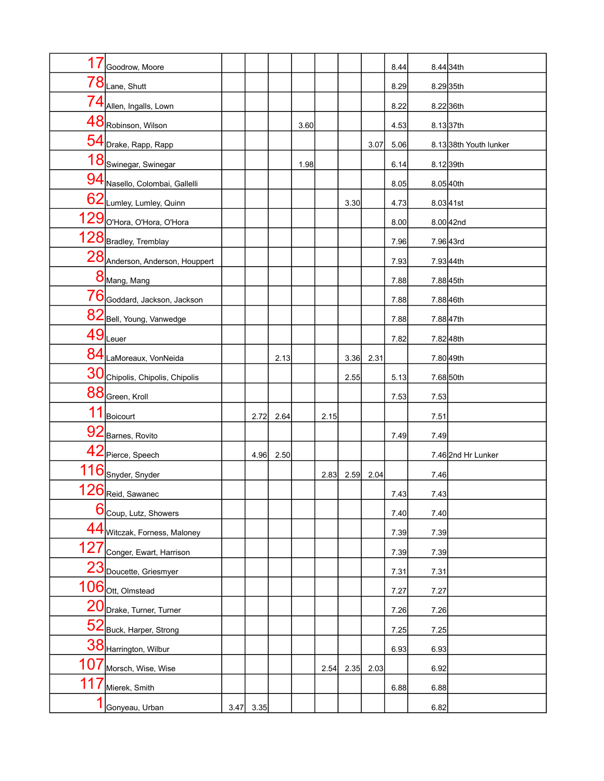| 17  | Goodrow, Moore                  |      |      |      |      |      |      |      | 8.44 |      | 8.44 34th             |
|-----|---------------------------------|------|------|------|------|------|------|------|------|------|-----------------------|
|     | $78$ Lane, Shutt                |      |      |      |      |      |      |      | 8.29 |      | 8.2935th              |
|     | 74 Allen, Ingalls, Lown         |      |      |      |      |      |      |      | 8.22 |      | 8.2236th              |
|     | 48 Robinson, Wilson             |      |      |      | 3.60 |      |      |      | 4.53 |      | 8.1337th              |
|     | 54 Drake, Rapp, Rapp            |      |      |      |      |      |      | 3.07 | 5.06 |      | 8.1338th Youth lunker |
|     | 18 Swinegar, Swinegar           |      |      |      | 1.98 |      |      |      | 6.14 |      | 8.1239th              |
|     | 94 Nasello, Colombai, Gallelli  |      |      |      |      |      |      |      | 8.05 |      | 8.0540th              |
|     | 62 Lumley, Lumley, Quinn        |      |      |      |      |      | 3.30 |      | 4.73 |      | 8.0341st              |
|     | 129 O'Hora, O'Hora, O'Hora      |      |      |      |      |      |      |      | 8.00 |      | 8.00 42nd             |
|     | 128 Bradley, Tremblay           |      |      |      |      |      |      |      | 7.96 |      | 7.96 43rd             |
|     | 28 Anderson, Anderson, Houppert |      |      |      |      |      |      |      | 7.93 |      | 7.93 44th             |
|     | 8 Mang, Mang                    |      |      |      |      |      |      |      | 7.88 |      | 7.8845th              |
|     | 76 Goddard, Jackson, Jackson    |      |      |      |      |      |      |      | 7.88 |      | 7.8846th              |
|     | 82 Bell, Young, Vanwedge        |      |      |      |      |      |      |      | 7.88 |      | 7.8847th              |
|     | $49$ Leuer                      |      |      |      |      |      |      |      | 7.82 |      | 7.8248th              |
|     | 84 LaMoreaux, VonNeida          |      |      | 2.13 |      |      | 3.36 | 2.31 |      |      | 7.80 49th             |
|     | 30 Chipolis, Chipolis, Chipolis |      |      |      |      |      | 2.55 |      | 5.13 |      | 7.68 50th             |
|     | 88 Green, Kroll                 |      |      |      |      |      |      |      | 7.53 | 7.53 |                       |
| 11  | Boicourt                        |      | 2.72 | 2.64 |      | 2.15 |      |      |      | 7.51 |                       |
|     | 92 Barnes, Rovito               |      |      |      |      |      |      |      | 7.49 | 7.49 |                       |
|     | 42 Pierce, Speech               |      | 4.96 | 2.50 |      |      |      |      |      |      | 7.46 2nd Hr Lunker    |
|     | 116 Snyder, Snyder              |      |      |      |      | 2.83 | 2.59 | 2.04 |      | 7.46 |                       |
|     | 126 Reid, Sawanec               |      |      |      |      |      |      |      | 7.43 | 7.43 |                       |
| 6   | Coup, Lutz, Showers             |      |      |      |      |      |      |      | 7.40 | 7.40 |                       |
|     | 44 Witczak, Forness, Maloney    |      |      |      |      |      |      |      | 7.39 | 7.39 |                       |
| 127 | Conger, Ewart, Harrison         |      |      |      |      |      |      |      | 7.39 | 7.39 |                       |
|     | 23 Doucette, Griesmyer          |      |      |      |      |      |      |      | 7.31 | 7.31 |                       |
|     | $106$ ott, Olmstead             |      |      |      |      |      |      |      | 7.27 | 7.27 |                       |
|     | 20 Drake, Turner, Turner        |      |      |      |      |      |      |      | 7.26 | 7.26 |                       |
| 52  | Buck, Harper, Strong            |      |      |      |      |      |      |      | 7.25 | 7.25 |                       |
|     | 38 Harrington, Wilbur           |      |      |      |      |      |      |      | 6.93 | 6.93 |                       |
| 107 | Morsch, Wise, Wise              |      |      |      |      | 2.54 | 2.35 | 2.03 |      | 6.92 |                       |
| 11  | Mierek, Smith                   |      |      |      |      |      |      |      | 6.88 | 6.88 |                       |
|     | Gonyeau, Urban                  | 3.47 | 3.35 |      |      |      |      |      |      | 6.82 |                       |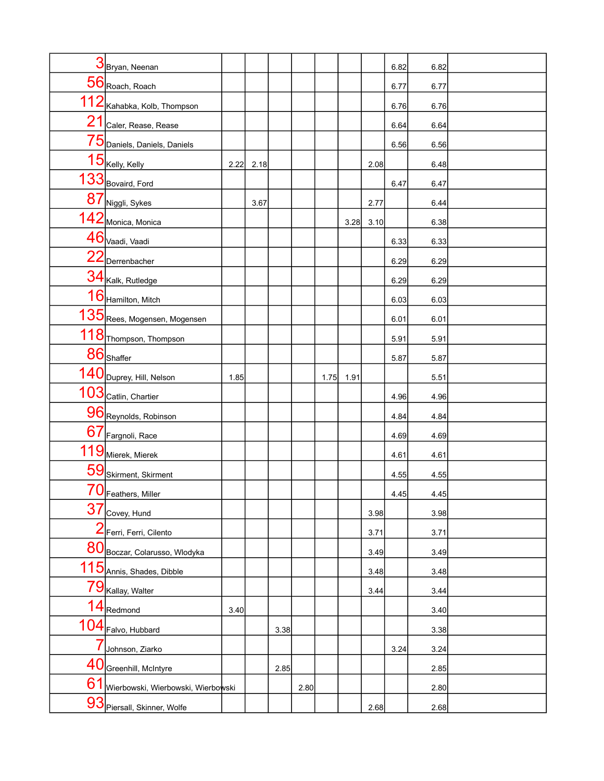|                | 3 Bryan, Neenan                    |      |      |      |      |      |      |      | 6.82 | 6.82 |  |
|----------------|------------------------------------|------|------|------|------|------|------|------|------|------|--|
|                | $56$ Roach, Roach                  |      |      |      |      |      |      |      | 6.77 | 6.77 |  |
|                | 112 Kahabka, Kolb, Thompson        |      |      |      |      |      |      |      | 6.76 | 6.76 |  |
|                | 21 Caler, Rease, Rease             |      |      |      |      |      |      |      | 6.64 | 6.64 |  |
|                | 75 Daniels, Daniels, Daniels       |      |      |      |      |      |      |      | 6.56 | 6.56 |  |
|                | $15$ Kelly, Kelly                  | 2.22 | 2.18 |      |      |      |      | 2.08 |      | 6.48 |  |
|                | 133 Bovaird, Ford                  |      |      |      |      |      |      |      | 6.47 | 6.47 |  |
|                | 87 Niggli, Sykes                   |      | 3.67 |      |      |      |      | 2.77 |      | 6.44 |  |
|                | 142 Monica, Monica                 |      |      |      |      |      | 3.28 | 3.10 |      | 6.38 |  |
|                | 46 Vaadi, Vaadi                    |      |      |      |      |      |      |      | 6.33 | 6.33 |  |
|                | 22 Derrenbacher                    |      |      |      |      |      |      |      | 6.29 | 6.29 |  |
|                | 34 Kalk, Rutledge                  |      |      |      |      |      |      |      | 6.29 | 6.29 |  |
|                | 16 Hamilton, Mitch                 |      |      |      |      |      |      |      | 6.03 | 6.03 |  |
|                | 135 Rees, Mogensen, Mogensen       |      |      |      |      |      |      |      | 6.01 | 6.01 |  |
|                | 118 Thompson, Thompson             |      |      |      |      |      |      |      | 5.91 | 5.91 |  |
|                | $86$ Shaffer                       |      |      |      |      |      |      |      | 5.87 | 5.87 |  |
|                | 140 Duprey, Hill, Nelson           | 1.85 |      |      |      | 1.75 | 1.91 |      |      | 5.51 |  |
|                | 103 Catlin, Chartier               |      |      |      |      |      |      |      | 4.96 | 4.96 |  |
|                | 96 Reynolds, Robinson              |      |      |      |      |      |      |      | 4.84 | 4.84 |  |
|                | 67 Fargnoli, Race                  |      |      |      |      |      |      |      | 4.69 | 4.69 |  |
|                | 119 Mierek, Mierek                 |      |      |      |      |      |      |      | 4.61 | 4.61 |  |
|                | 59 Skirment, Skirment              |      |      |      |      |      |      |      | 4.55 | 4.55 |  |
|                | 70 Feathers, Miller                |      |      |      |      |      |      |      | 4.45 | 4.45 |  |
| 37             | Covey, Hund                        |      |      |      |      |      |      | 3.98 |      | 3.98 |  |
| $\overline{2}$ | Ferri, Ferri, Cilento              |      |      |      |      |      |      | 3.71 |      | 3.71 |  |
|                | 80 Boczar, Colarusso, Włodyka      |      |      |      |      |      |      | 3.49 |      | 3.49 |  |
| 115            | Annis, Shades, Dibble              |      |      |      |      |      |      | 3.48 |      | 3.48 |  |
| 79             | Kallay, Walter                     |      |      |      |      |      |      | 3.44 |      | 3.44 |  |
|                | $14$ Redmond                       | 3.40 |      |      |      |      |      |      |      | 3.40 |  |
|                | 104 Falvo, Hubbard                 |      |      | 3.38 |      |      |      |      |      | 3.38 |  |
|                | Johnson, Ziarko                    |      |      |      |      |      |      |      | 3.24 | 3.24 |  |
| 40             | Greenhill, McIntyre                |      |      | 2.85 |      |      |      |      |      | 2.85 |  |
| 61             | Wierbowski, Wierbowski, Wierbowski |      |      |      | 2.80 |      |      |      |      | 2.80 |  |
|                | 93 Piersall, Skinner, Wolfe        |      |      |      |      |      |      | 2.68 |      | 2.68 |  |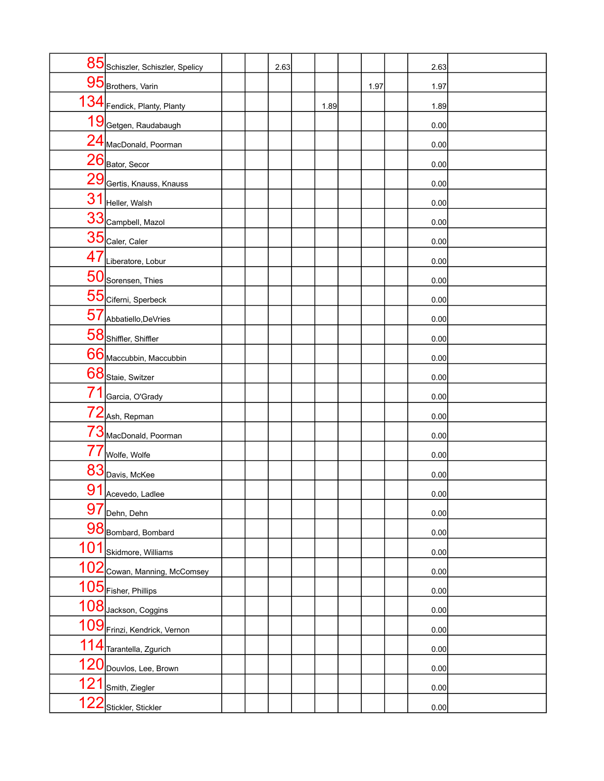|     | 85 Schiszler, Schiszler, Spelicy |  | 2.63 |      |      | 2.63 |  |
|-----|----------------------------------|--|------|------|------|------|--|
|     | 95 Brothers, Varin               |  |      |      | 1.97 | 1.97 |  |
|     | 134 Fendick, Planty, Planty      |  |      | 1.89 |      | 1.89 |  |
|     | 19 Getgen, Raudabaugh            |  |      |      |      | 0.00 |  |
|     | 24 MacDonald, Poorman            |  |      |      |      | 0.00 |  |
|     | $26$ Bator, Secor                |  |      |      |      | 0.00 |  |
|     | 29 Gertis, Knauss, Knauss        |  |      |      |      | 0.00 |  |
|     | 31 Heller, Walsh                 |  |      |      |      | 0.00 |  |
|     | 33 Campbell, Mazol               |  |      |      |      | 0.00 |  |
|     | $35$ Caler, Caler                |  |      |      |      | 0.00 |  |
|     | 47 Liberatore, Lobur             |  |      |      |      | 0.00 |  |
|     | 50 Sorensen, Thies               |  |      |      |      | 0.00 |  |
|     | 55 Ciferni, Sperbeck             |  |      |      |      | 0.00 |  |
|     | 57 Abbatiello, DeVries           |  |      |      |      | 0.00 |  |
|     | 58 Shiffler, Shiffler            |  |      |      |      | 0.00 |  |
|     | 66 Maccubbin, Maccubbin          |  |      |      |      | 0.00 |  |
|     | 68 Staie, Switzer                |  |      |      |      | 0.00 |  |
| 71  | Garcia, O'Grady                  |  |      |      |      | 0.00 |  |
|     | $72$ Ash, Repman                 |  |      |      |      | 0.00 |  |
|     | 73 MacDonald, Poorman            |  |      |      |      | 0.00 |  |
| 77  | Wolfe, Wolfe                     |  |      |      |      | 0.00 |  |
|     | 83 Davis, McKee                  |  |      |      |      | 0.00 |  |
|     | 91 Acevedo, Ladlee               |  |      |      |      | 0.00 |  |
| 97  | Dehn, Dehn                       |  |      |      |      | 0.00 |  |
|     | 98 Bombard, Bombard              |  |      |      |      | 0.00 |  |
|     | 101 Skidmore, Williams           |  |      |      |      | 0.00 |  |
|     | 102 Cowan, Manning, McComsey     |  |      |      |      | 0.00 |  |
|     | 105 Fisher, Phillips             |  |      |      |      | 0.00 |  |
|     | 108 Jackson, Coggins             |  |      |      |      | 0.00 |  |
|     | 109 Frinzi, Kendrick, Vernon     |  |      |      |      | 0.00 |  |
|     | 114 Tarantella, Zgurich          |  |      |      |      | 0.00 |  |
|     | 120 Douvlos, Lee, Brown          |  |      |      |      | 0.00 |  |
|     | 121 Smith, Ziegler               |  |      |      |      | 0.00 |  |
| 122 | Stickler, Stickler               |  |      |      |      | 0.00 |  |